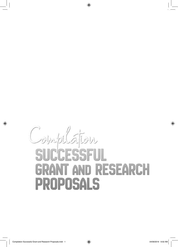# ⊕ ◈ Complation SUCCESSFUL **GRANT AND RESEARCH** PROPOSALS

◈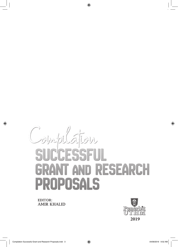

⊕

**EDITOR: AMIR KHALID** 



⊕

⊕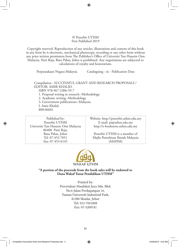## © Penerbit UTHM First Published 2019

⊕

Copyright reserved. Reproduction of any articles, illustrations and content of this book in any form be it electronic, mechanical photocopy, recording or any other form without any prior written permission from The Publisher's Office of Universiti Tun Hussein Onn Malaysia, Parit Raja, Batu Pahat, Johor is prohibited. Any negotiations are subjected to calculations of royalty and honorarium.

Perpustakaan Negara Malaysia Cataloguing - in - Publication Data

Compilation : SUCCESSFUL GRANT AND RESEARCH PROPOSALS / EDITOR: AMIR KHALID.

ISBN 978-967-2306-59-7

1. Proposal writing in research--Methodology.

2. Academic writing--Methodology.

3. Government publications--Malaysia.

I. Amir Khalid.

808.06601

↔

| Published by:                                         | Website: http://penerbit.uthm.edu.my |  |
|-------------------------------------------------------|--------------------------------------|--|
| Penerbit UTHM                                         | E-mail: pt@uthm.edu.my               |  |
| Universiti Tun Hussein Onn Malaysia                   | http://e-bookstore.uthm.edu.my       |  |
| 86400 Parit Raja,                                     |                                      |  |
| Batu Pahat, Johor                                     | Penerbit UTHM is a member of         |  |
| Tel: 07-453 7051<br>Majlis Penerbitan Ilmiah Malaysia |                                      |  |
| Fax: 07-453 6145                                      | (MAPIM)                              |  |



**"A portion of the proceeds from the book sales will be endowed to Dana Wakaf Tunai Pendidikan UTHM"**

> Printed by: Percetakan Muafakat Jaya Sdn. Bhd. No.6 Jalan Perdagangan 16, Taman Universiti Industrial Park, 81300 Skudai, Johor Tel: 012-7021008 Fax: 07-5200741

⊕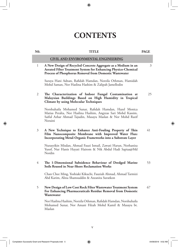# **CONTENTS**

 $\bigoplus$ 

| N0. | <b>TITLE</b>                                                                                                                                                                                      | <b>PAGE</b> |
|-----|---------------------------------------------------------------------------------------------------------------------------------------------------------------------------------------------------|-------------|
|     | <b>CIVIL AND ENVIRONMENTAL ENGINEERING</b>                                                                                                                                                        |             |
| 1   | A New Design of Recycled Concrete Aggregate as a Medium in an<br><b>Aerated Filter Treatment System for Enhancing Physico-Chemical</b><br>Process of Phosphorus Removal from Domestic Wastewater  | 3           |
|     | Suraya Hani Adnan, Rafidah Hamdan, Norzila Othman, Hamidah<br>Mohd Saman, Nor Haslina Hashim & Zalipah Jamellodin                                                                                 |             |
| 2   | The Characterization of Indoor Fungal Contamination at<br>Malaysian Buildings Based on High Humidity in Tropical<br><b>Climate by using Molecular Techniques</b>                                  | 25          |
|     | Norshuhaila Mohamed Sunar, Rafidah Hamdan, Hazel Monica<br>Matias Peralta, Nor Haslina Hashim, Angzzas Sari Mohd Kassim,<br>Saiful Azhar Ahmad Tajudin, Masayu Maslan & Nor Mohd Razif<br>Noraini |             |
| 3   | A New Technique to Enhance Anti-Fouling Property of Thin<br>Film Nanocomposite Membrane with Improved Water Flux:<br>Incorporating Metal-Organic Frameworks into a Substrate Layer                | 41          |
|     | Nurasyikin Misdan, Ahmad Fauzi Ismail, Zawati Harun, Norhaniza<br>Yusof, Nur Hanis Hayati Hairom & Nik Abdul Hadi Sapiaa@Md<br>Nordin                                                             |             |
| 4   | The 1-Dimensional Subsidence Behaviour of Dredged Marine<br>Soils Reused in Near-Shore Reclamation Works                                                                                          | 53          |
|     | Chan Chee Ming, Yoshiaki Kikuchi, Fauziah Ahmad, Ahmad Tarmizi<br>Abd Karim, Alina Shamsuddin & Azeanita Suratkon                                                                                 |             |
| 5   | New Design of Low Cost Rock Filter Wastewater Treatment System<br>For Enhancing Pharmaceuticals Residue Removal from Domestic<br>Wastewater                                                       | 67          |
|     | Nor Haslina Hashim, Norzila Othman, Rafidah Hamdan, Norshuhaila<br>Mohamed Sunar, Nor Amani Filzah Mohd Kamil & Masayu bt.<br>Maslan                                                              |             |
|     |                                                                                                                                                                                                   |             |

 $\Box$ 

 $\bigoplus$ 

v

 $\bigoplus$